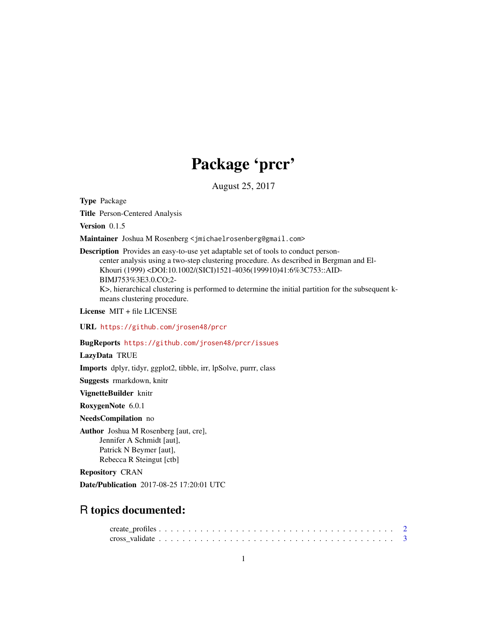## Package 'prcr'

August 25, 2017

Type Package

Title Person-Centered Analysis

Version 0.1.5

Maintainer Joshua M Rosenberg <jmichaelrosenberg@gmail.com>

Description Provides an easy-to-use yet adaptable set of tools to conduct personcenter analysis using a two-step clustering procedure. As described in Bergman and El-Khouri (1999) <DOI:10.1002/(SICI)1521-4036(199910)41:6%3C753::AID-BIMJ753%3E3.0.CO;2- K>, hierarchical clustering is performed to determine the initial partition for the subsequent kmeans clustering procedure.

License MIT + file LICENSE

URL <https://github.com/jrosen48/prcr>

#### BugReports <https://github.com/jrosen48/prcr/issues>

LazyData TRUE

Imports dplyr, tidyr, ggplot2, tibble, irr, lpSolve, purrr, class

Suggests rmarkdown, knitr

VignetteBuilder knitr

RoxygenNote 6.0.1

NeedsCompilation no

Author Joshua M Rosenberg [aut, cre], Jennifer A Schmidt [aut], Patrick N Beymer [aut], Rebecca R Steingut [ctb]

Repository CRAN

Date/Publication 2017-08-25 17:20:01 UTC

### R topics documented: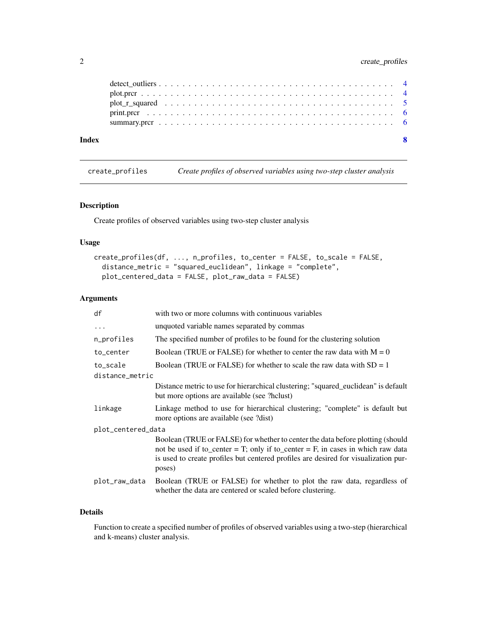#### <span id="page-1-0"></span>2 create\_profiles

| Index |  |  |  |  |  |  |  |  |  |  |  |  |  |  |  |  |  |  |  |
|-------|--|--|--|--|--|--|--|--|--|--|--|--|--|--|--|--|--|--|--|
|       |  |  |  |  |  |  |  |  |  |  |  |  |  |  |  |  |  |  |  |
|       |  |  |  |  |  |  |  |  |  |  |  |  |  |  |  |  |  |  |  |
|       |  |  |  |  |  |  |  |  |  |  |  |  |  |  |  |  |  |  |  |
|       |  |  |  |  |  |  |  |  |  |  |  |  |  |  |  |  |  |  |  |
|       |  |  |  |  |  |  |  |  |  |  |  |  |  |  |  |  |  |  |  |

create\_profiles *Create profiles of observed variables using two-step cluster analysis*

#### Description

Create profiles of observed variables using two-step cluster analysis

#### Usage

```
create_profiles(df, ..., n_profiles, to_center = FALSE, to_scale = FALSE,
  distance_metric = "squared_euclidean", linkage = "complete",
 plot_centered_data = FALSE, plot_raw_data = FALSE)
```
#### Arguments

| df                 | with two or more columns with continuous variables                                                                                                                                                                                                                 |
|--------------------|--------------------------------------------------------------------------------------------------------------------------------------------------------------------------------------------------------------------------------------------------------------------|
| $\cdots$           | unquoted variable names separated by commas                                                                                                                                                                                                                        |
| n_profiles         | The specified number of profiles to be found for the clustering solution                                                                                                                                                                                           |
| to_center          | Boolean (TRUE or FALSE) for whether to center the raw data with $M = 0$                                                                                                                                                                                            |
| to_scale           | Boolean (TRUE or FALSE) for whether to scale the raw data with $SD = 1$                                                                                                                                                                                            |
| distance_metric    |                                                                                                                                                                                                                                                                    |
|                    | Distance metric to use for hierarchical clustering; "squared_euclidean" is default<br>but more options are available (see ?hclust)                                                                                                                                 |
| linkage            | Linkage method to use for hierarchical clustering; "complete" is default but<br>more options are available (see ?dist)                                                                                                                                             |
| plot_centered_data |                                                                                                                                                                                                                                                                    |
|                    | Boolean (TRUE or FALSE) for whether to center the data before plotting (should<br>not be used if to_center = T; only if to_center = F, in cases in which raw data<br>is used to create profiles but centered profiles are desired for visualization pur-<br>poses) |
| plot_raw_data      | Boolean (TRUE or FALSE) for whether to plot the raw data, regardless of<br>whether the data are centered or scaled before clustering.                                                                                                                              |

#### Details

Function to create a specified number of profiles of observed variables using a two-step (hierarchical and k-means) cluster analysis.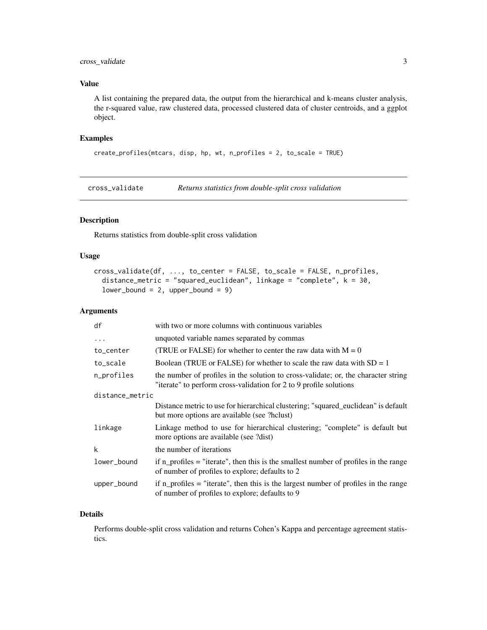#### <span id="page-2-0"></span>cross\_validate 3

#### Value

A list containing the prepared data, the output from the hierarchical and k-means cluster analysis, the r-squared value, raw clustered data, processed clustered data of cluster centroids, and a ggplot object.

#### Examples

```
create_profiles(mtcars, disp, hp, wt, n_profiles = 2, to_scale = TRUE)
```
cross\_validate *Returns statistics from double-split cross validation*

#### Description

Returns statistics from double-split cross validation

#### Usage

```
cross_validate(df, ..., to_center = FALSE, to_scale = FALSE, n_profiles,
  distance_metric = "squared_euclidean", linkage = "complete", k = 30,
  lower_bound = 2, upper_bound = 9)
```
#### Arguments

| df              | with two or more columns with continuous variables                                                                                                       |
|-----------------|----------------------------------------------------------------------------------------------------------------------------------------------------------|
| $\ddots$        | unquoted variable names separated by commas                                                                                                              |
| to_center       | (TRUE or FALSE) for whether to center the raw data with $M = 0$                                                                                          |
| to_scale        | Boolean (TRUE or FALSE) for whether to scale the raw data with $SD = 1$                                                                                  |
| n_profiles      | the number of profiles in the solution to cross-validate; or, the character string<br>"iterate" to perform cross-validation for 2 to 9 profile solutions |
| distance_metric |                                                                                                                                                          |
|                 | Distance metric to use for hierarchical clustering; "squared_euclidean" is default<br>but more options are available (see ?hclust)                       |
| linkage         | Linkage method to use for hierarchical clustering; "complete" is default but<br>more options are available (see ?dist)                                   |
| k               | the number of iterations                                                                                                                                 |
| lower_bound     | if $n$ profiles = "iterate", then this is the smallest number of profiles in the range<br>of number of profiles to explore; defaults to 2                |
| upper_bound     | if $n$ profiles = "iterate", then this is the largest number of profiles in the range<br>of number of profiles to explore; defaults to 9                 |

#### Details

Performs double-split cross validation and returns Cohen's Kappa and percentage agreement statistics.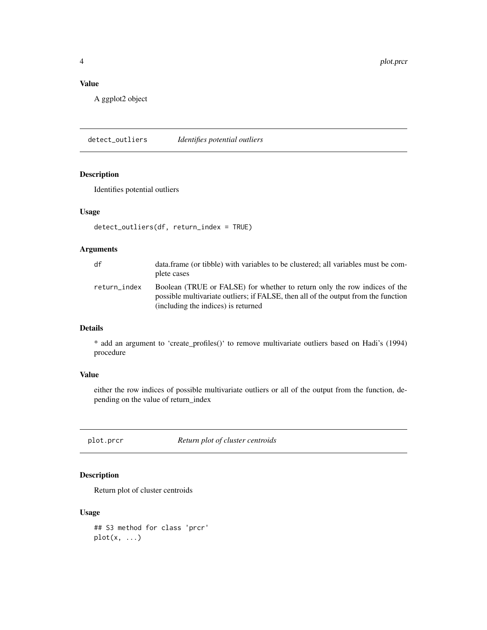<span id="page-3-0"></span>4 plot.prcr

#### Value

A ggplot2 object

detect\_outliers *Identifies potential outliers*

#### Description

Identifies potential outliers

#### Usage

```
detect_outliers(df, return_index = TRUE)
```
#### Arguments

| df           | data.frame (or tibble) with variables to be clustered; all variables must be com-<br>plete cases                                                                                                       |
|--------------|--------------------------------------------------------------------------------------------------------------------------------------------------------------------------------------------------------|
| return_index | Boolean (TRUE or FALSE) for whether to return only the row indices of the<br>possible multivariate outliers; if FALSE, then all of the output from the function<br>(including the indices) is returned |

#### Details

\* add an argument to 'create\_profiles()' to remove multivariate outliers based on Hadi's (1994) procedure

#### Value

either the row indices of possible multivariate outliers or all of the output from the function, depending on the value of return\_index

plot.prcr *Return plot of cluster centroids*

#### Description

Return plot of cluster centroids

#### Usage

## S3 method for class 'prcr' plot(x, ...)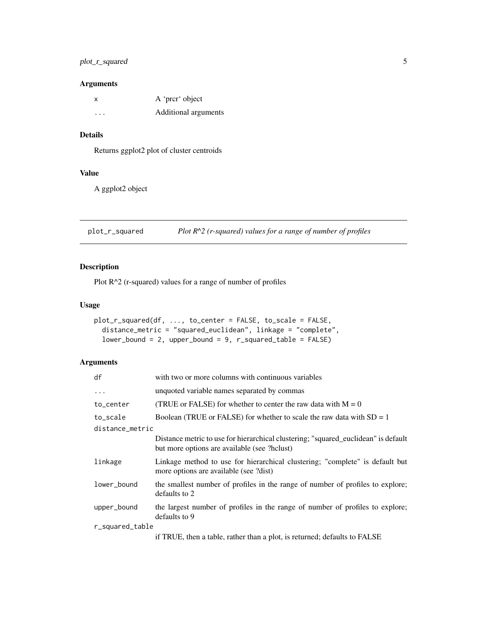#### <span id="page-4-0"></span>plot\_r\_squared 5

#### Arguments

| x       | A 'prcr' object      |
|---------|----------------------|
| $\cdot$ | Additional arguments |

#### Details

Returns ggplot2 plot of cluster centroids

#### Value

A ggplot2 object

plot\_r\_squared *Plot R^2 (r-squared) values for a range of number of profiles*

#### Description

Plot R^2 (r-squared) values for a range of number of profiles

#### Usage

```
plot_r_squared(df, ..., to_center = FALSE, to_scale = FALSE,
 distance_metric = "squared_euclidean", linkage = "complete",
 lower_bound = 2, upper_bound = 9, r_squared_table = FALSE)
```
#### Arguments

| df              | with two or more columns with continuous variables                                                                                 |
|-----------------|------------------------------------------------------------------------------------------------------------------------------------|
| $\ddots$ .      | unquoted variable names separated by commas                                                                                        |
| to_center       | (TRUE or FALSE) for whether to center the raw data with $M = 0$                                                                    |
| to_scale        | Boolean (TRUE or FALSE) for whether to scale the raw data with $SD = 1$                                                            |
| distance_metric |                                                                                                                                    |
|                 | Distance metric to use for hierarchical clustering; "squared_euclidean" is default<br>but more options are available (see ?hclust) |
| linkage         | Linkage method to use for hierarchical clustering; "complete" is default but<br>more options are available (see ?dist)             |
| lower_bound     | the smallest number of profiles in the range of number of profiles to explore;<br>defaults to 2                                    |
| upper_bound     | the largest number of profiles in the range of number of profiles to explore;<br>defaults to 9                                     |
| r_squared_table |                                                                                                                                    |
|                 | if TRUE, then a table, rather than a plot, is returned; defaults to FALSE                                                          |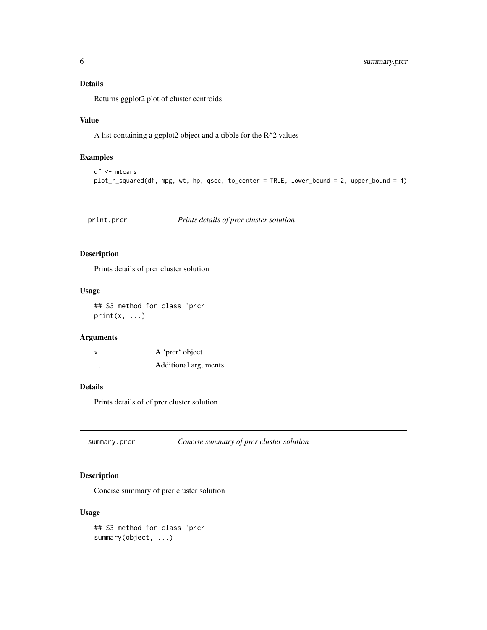#### <span id="page-5-0"></span>Details

Returns ggplot2 plot of cluster centroids

#### Value

A list containing a ggplot2 object and a tibble for the R^2 values

#### Examples

```
df <- mtcars
plot_r_squared(df, mpg, wt, hp, qsec, to_center = TRUE, lower_bound = 2, upper_bound = 4)
```
print.prcr *Prints details of prcr cluster solution*

#### Description

Prints details of prcr cluster solution

#### Usage

## S3 method for class 'prcr'  $print(x, \ldots)$ 

#### Arguments

| X                       | A 'prcr' object      |
|-------------------------|----------------------|
| $\cdot$ $\cdot$ $\cdot$ | Additional arguments |

#### Details

Prints details of of prcr cluster solution

summary.prcr *Concise summary of prcr cluster solution*

#### Description

Concise summary of prcr cluster solution

#### Usage

## S3 method for class 'prcr' summary(object, ...)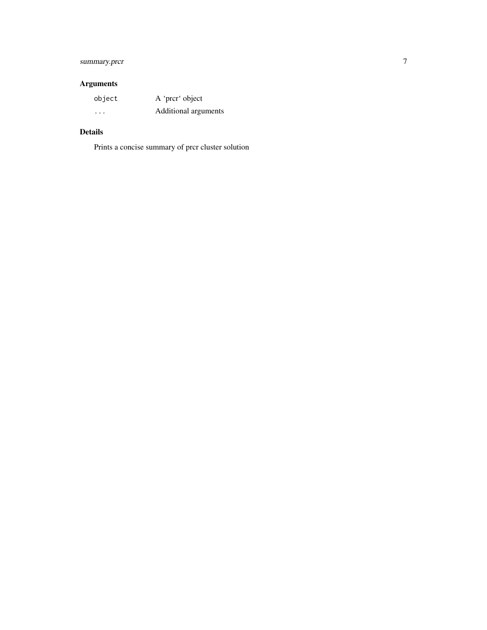#### summary.prcr 7

#### Arguments

| object  | A 'prcr' object      |
|---------|----------------------|
| $\cdot$ | Additional arguments |

#### Details

Prints a concise summary of prcr cluster solution